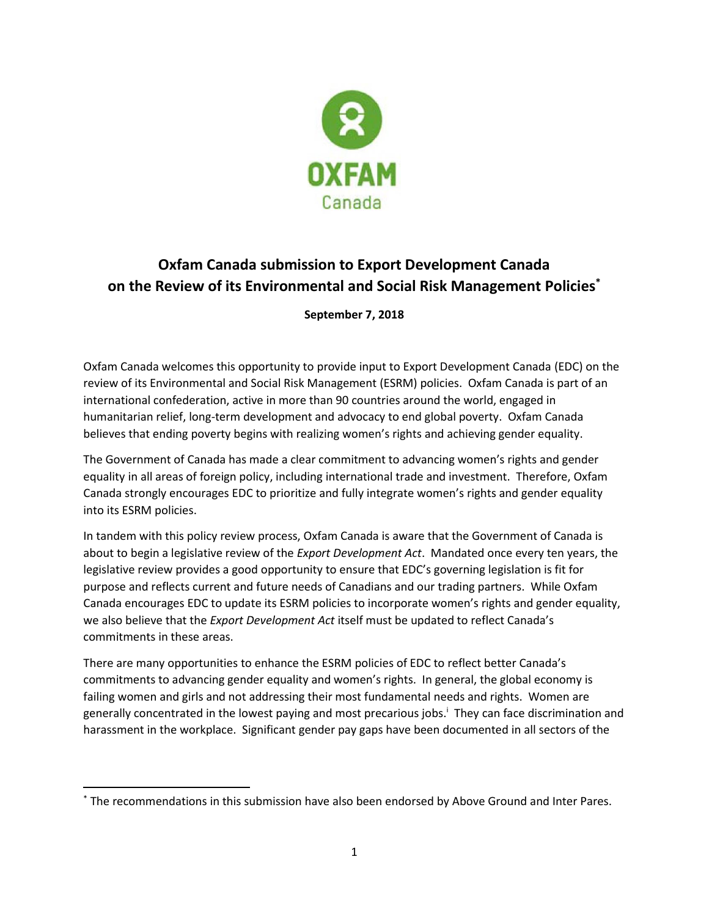

# **Oxfam Canada submission to Export Development Canada on the Review of its Environmental and Social Risk Management Policies\***

**September 7, 2018**

Oxfam Canada welcomes this opportunity to provide input to Export Development Canada (EDC) on the review of its Environmental and Social Risk Management (ESRM) policies. Oxfam Canada is part of an international confederation, active in more than 90 countries around the world, engaged in humanitarian relief, long-term development and advocacy to end global poverty. Oxfam Canada believes that ending poverty begins with realizing women's rights and achieving gender equality.

The Government of Canada has made a clear commitment to advancing women's rights and gender equality in all areas of foreign policy, including international trade and investment. Therefore, Oxfam Canada strongly encourages EDC to prioritize and fully integrate women's rights and gender equality into its ESRM policies.

In tandem with this policy review process, Oxfam Canada is aware that the Government of Canada is about to begin a legislative review of the *Export Development Act*. Mandated once every ten years, the legislative review provides a good opportunity to ensure that EDC's governing legislation is fit for purpose and reflects current and future needs of Canadians and our trading partners. While Oxfam Canada encourages EDC to update its ESRM policies to incorporate women's rights and gender equality, we also believe that the *Export Development Act* itself must be updated to reflect Canada's commitments in these areas.

There are many opportunities to enhance the ESRM policies of EDC to reflect better Canada's commitments to advancing gender equality and women's rights. In general, the global economy is failing women and girls and not addressing their most fundamental needs and rights. Women are generally concentrated in the lowest paying and most precarious jobs.<sup>i</sup> They can face discrimination and harassment in the workplace. Significant gender pay gaps have been documented in all sectors of the

 $\overline{a}$ 

<sup>\*</sup> The recommendations in this submission have also been endorsed by Above Ground and Inter Pares.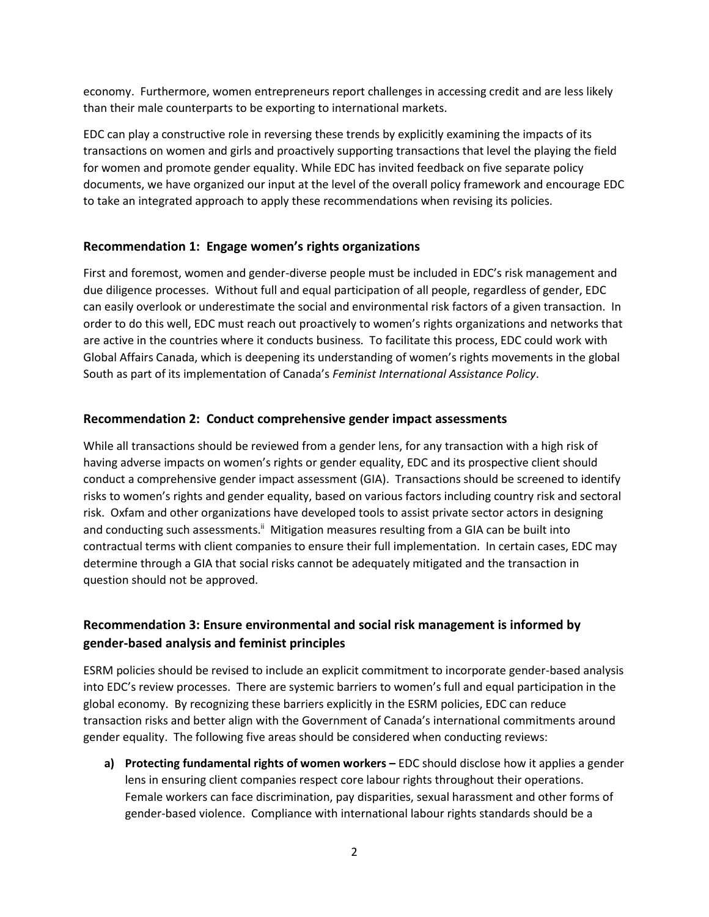economy. Furthermore, women entrepreneurs report challenges in accessing credit and are less likely than their male counterparts to be exporting to international markets.

EDC can play a constructive role in reversing these trends by explicitly examining the impacts of its transactions on women and girls and proactively supporting transactions that level the playing the field for women and promote gender equality. While EDC has invited feedback on five separate policy documents, we have organized our input at the level of the overall policy framework and encourage EDC to take an integrated approach to apply these recommendations when revising its policies.

#### **Recommendation 1: Engage women's rights organizations**

First and foremost, women and gender-diverse people must be included in EDC's risk management and due diligence processes. Without full and equal participation of all people, regardless of gender, EDC can easily overlook or underestimate the social and environmental risk factors of a given transaction. In order to do this well, EDC must reach out proactively to women's rights organizations and networks that are active in the countries where it conducts business. To facilitate this process, EDC could work with Global Affairs Canada, which is deepening its understanding of women's rights movements in the global South as part of its implementation of Canada's *Feminist International Assistance Policy*.

#### **Recommendation 2: Conduct comprehensive gender impact assessments**

While all transactions should be reviewed from a gender lens, for any transaction with a high risk of having adverse impacts on women's rights or gender equality, EDC and its prospective client should conduct a comprehensive gender impact assessment (GIA). Transactions should be screened to identify risks to women's rights and gender equality, based on various factors including country risk and sectoral risk. Oxfam and other organizations have developed tools to assist private sector actors in designing and conducting such assessments.<sup>ii</sup> Mitigation measures resulting from a GIA can be built into contractual terms with client companies to ensure their full implementation. In certain cases, EDC may determine through a GIA that social risks cannot be adequately mitigated and the transaction in question should not be approved.

## **Recommendation 3: Ensure environmental and social risk management is informed by gender-based analysis and feminist principles**

ESRM policies should be revised to include an explicit commitment to incorporate gender-based analysis into EDC's review processes. There are systemic barriers to women's full and equal participation in the global economy. By recognizing these barriers explicitly in the ESRM policies, EDC can reduce transaction risks and better align with the Government of Canada's international commitments around gender equality. The following five areas should be considered when conducting reviews:

**a) Protecting fundamental rights of women workers –** EDC should disclose how it applies a gender lens in ensuring client companies respect core labour rights throughout their operations. Female workers can face discrimination, pay disparities, sexual harassment and other forms of gender-based violence. Compliance with international labour rights standards should be a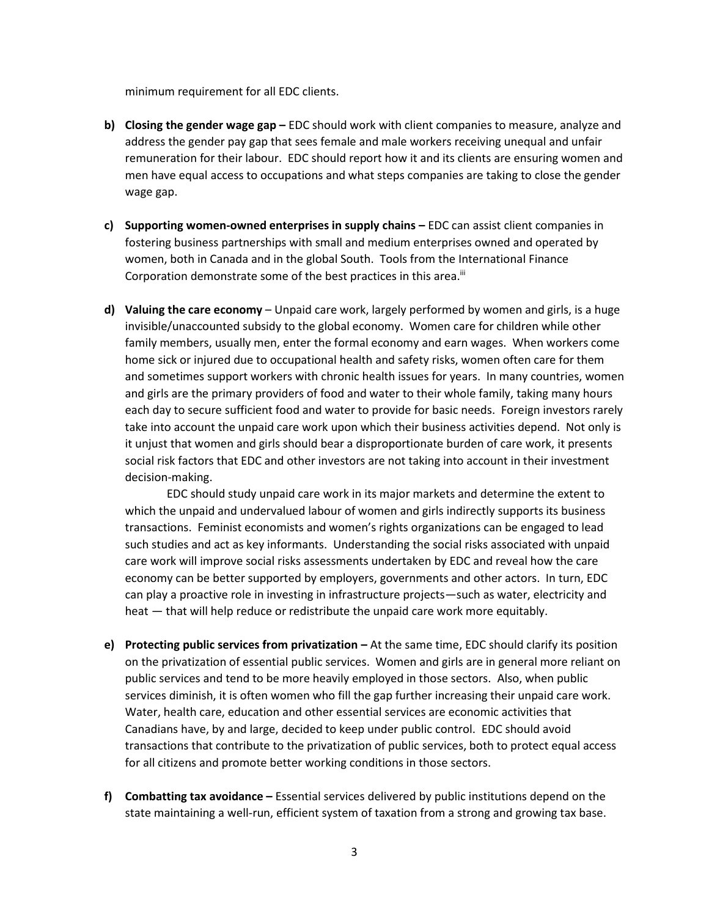minimum requirement for all EDC clients.

- **b) Closing the gender wage gap –** EDC should work with client companies to measure, analyze and address the gender pay gap that sees female and male workers receiving unequal and unfair remuneration for their labour. EDC should report how it and its clients are ensuring women and men have equal access to occupations and what steps companies are taking to close the gender wage gap.
- **c) Supporting women-owned enterprises in supply chains –** EDC can assist client companies in fostering business partnerships with small and medium enterprises owned and operated by women, both in Canada and in the global South. Tools from the International Finance Corporation demonstrate some of the best practices in this area.<sup>iii</sup>
- **d) Valuing the care economy** Unpaid care work, largely performed by women and girls, is a huge invisible/unaccounted subsidy to the global economy. Women care for children while other family members, usually men, enter the formal economy and earn wages. When workers come home sick or injured due to occupational health and safety risks, women often care for them and sometimes support workers with chronic health issues for years. In many countries, women and girls are the primary providers of food and water to their whole family, taking many hours each day to secure sufficient food and water to provide for basic needs. Foreign investors rarely take into account the unpaid care work upon which their business activities depend. Not only is it unjust that women and girls should bear a disproportionate burden of care work, it presents social risk factors that EDC and other investors are not taking into account in their investment decision-making.

EDC should study unpaid care work in its major markets and determine the extent to which the unpaid and undervalued labour of women and girls indirectly supports its business transactions. Feminist economists and women's rights organizations can be engaged to lead such studies and act as key informants. Understanding the social risks associated with unpaid care work will improve social risks assessments undertaken by EDC and reveal how the care economy can be better supported by employers, governments and other actors. In turn, EDC can play a proactive role in investing in infrastructure projects—such as water, electricity and heat — that will help reduce or redistribute the unpaid care work more equitably.

- **e) Protecting public services from privatization –** At the same time, EDC should clarify its position on the privatization of essential public services. Women and girls are in general more reliant on public services and tend to be more heavily employed in those sectors. Also, when public services diminish, it is often women who fill the gap further increasing their unpaid care work. Water, health care, education and other essential services are economic activities that Canadians have, by and large, decided to keep under public control. EDC should avoid transactions that contribute to the privatization of public services, both to protect equal access for all citizens and promote better working conditions in those sectors.
- **f) Combatting tax avoidance –** Essential services delivered by public institutions depend on the state maintaining a well-run, efficient system of taxation from a strong and growing tax base.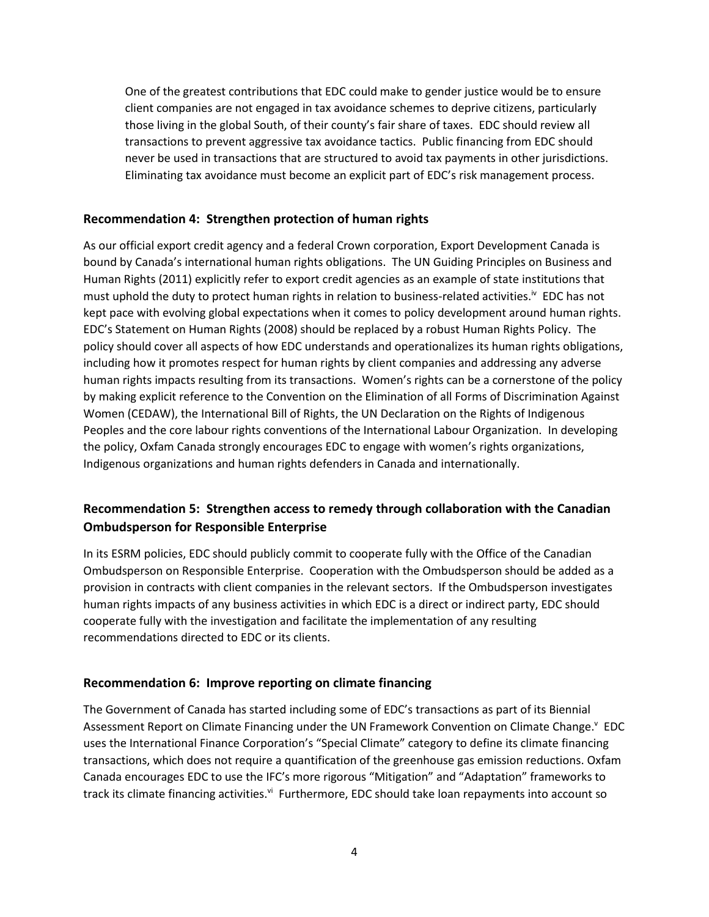One of the greatest contributions that EDC could make to gender justice would be to ensure client companies are not engaged in tax avoidance schemes to deprive citizens, particularly those living in the global South, of their county's fair share of taxes. EDC should review all transactions to prevent aggressive tax avoidance tactics. Public financing from EDC should never be used in transactions that are structured to avoid tax payments in other jurisdictions. Eliminating tax avoidance must become an explicit part of EDC's risk management process.

#### **Recommendation 4: Strengthen protection of human rights**

As our official export credit agency and a federal Crown corporation, Export Development Canada is bound by Canada's international human rights obligations. The UN Guiding Principles on Business and Human Rights (2011) explicitly refer to export credit agencies as an example of state institutions that must uphold the duty to protect human rights in relation to business-related activities.<sup>iv</sup> EDC has not kept pace with evolving global expectations when it comes to policy development around human rights. EDC's Statement on Human Rights (2008) should be replaced by a robust Human Rights Policy. The policy should cover all aspects of how EDC understands and operationalizes its human rights obligations, including how it promotes respect for human rights by client companies and addressing any adverse human rights impacts resulting from its transactions. Women's rights can be a cornerstone of the policy by making explicit reference to the Convention on the Elimination of all Forms of Discrimination Against Women (CEDAW), the International Bill of Rights, the UN Declaration on the Rights of Indigenous Peoples and the core labour rights conventions of the International Labour Organization. In developing the policy, Oxfam Canada strongly encourages EDC to engage with women's rights organizations, Indigenous organizations and human rights defenders in Canada and internationally.

## **Recommendation 5: Strengthen access to remedy through collaboration with the Canadian Ombudsperson for Responsible Enterprise**

In its ESRM policies, EDC should publicly commit to cooperate fully with the Office of the Canadian Ombudsperson on Responsible Enterprise. Cooperation with the Ombudsperson should be added as a provision in contracts with client companies in the relevant sectors. If the Ombudsperson investigates human rights impacts of any business activities in which EDC is a direct or indirect party, EDC should cooperate fully with the investigation and facilitate the implementation of any resulting recommendations directed to EDC or its clients.

#### **Recommendation 6: Improve reporting on climate financing**

The Government of Canada has started including some of EDC's transactions as part of its Biennial Assessment Report on Climate Financing under the UN Framework Convention on Climate Change.<sup>v</sup> EDC uses the International Finance Corporation's "Special Climate" category to define its climate financing transactions, which does not require a quantification of the greenhouse gas emission reductions. Oxfam Canada encourages EDC to use the IFC's more rigorous "Mitigation" and "Adaptation" frameworks to track its climate financing activities.<sup>vi</sup> Furthermore, EDC should take loan repayments into account so